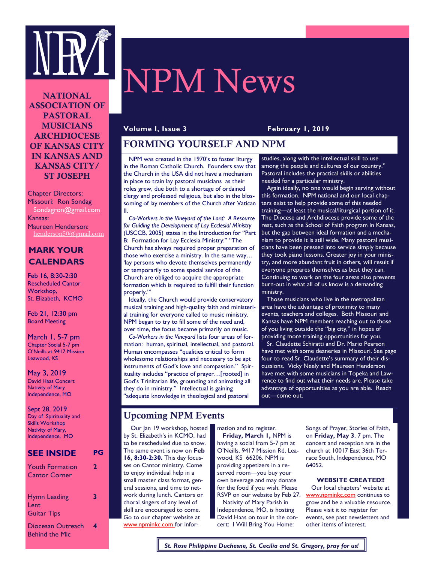

# NPM News

NATIONAL ASSOCIATION OF PASTORAL MUSICIANS ARCHDIOCESE OF KANSAS CITY IN KANSAS AND KANSAS CITY/ ST JOSEPH

Chapter Directors: Missouri: Ron Sondag Sondagron@gmail.com Kansas: Maureen Henderson: henderson50@gmail.com

### **MARK YOUR CALENDARS**

Feb 16, 8:30-2:30 Rescheduled Cantor Workshop, St. Elizabeth, KCMO

Feb 21, 12:30 pm Board Meeting

March 1, 5-7 pm Chapter Social 5-7 pm O'Neills at 9417 Mission Leawood, KS

May 3, 2019 David Haas Concert Nativity of Mary Independence, MO

Sept 28, 2019 Day of Spirituality and Skills Workshop Nativity of Mary, Independence, MO

## **SEE INSIDE PG**

| <b>Youth Formation</b><br><b>Cantor Corner</b>                   | 2 |
|------------------------------------------------------------------|---|
| <b>Hymn Leading</b><br>Lent                                      | 3 |
| <b>Guitar Tips</b><br>Diocesan Outreach<br><b>Behind the Mic</b> | 4 |

#### **Volume I, Issue 3 February 1, 2019**

#### FORMING YOURSELF AND NPM

 NPM was created in the 1970's to foster liturgy in the Roman Catholic Church. Founders saw that the Church in the USA did not have a mechanism in place to train lay pastoral musicians as their roles grew, due both to a shortage of ordained clergy and professed religious, but also in the blossoming of lay members of the Church after Vatican II.

 *Co-Workers in the Vineyard of the Lord: A Resource for Guiding the Development of Lay Ecclesial Ministry*  (USCCB, 2005) states in the Introduction for "Part B: Formation for Lay Ecclesia Ministry:" "The Church has always required proper preparation of those who exercise a ministry. In the same way… 'lay persons who devote themselves permanently or temporarily to some special service of the Church are obliged to acquire the appropriate formation which is required to fulfill their function properly."

 Ideally, the Church would provide conservatory musical training and high-quality faith and ministerial training for everyone called to music ministry. NPM began to try to fill some of the need and, over time, the focus became primarily on music.

 *Co-Workers in the Vineyard* lists four areas of formation: human, spiritual, intellectual, and pastoral. Human encompasses "qualities critical to form wholesome relationships and necessary to be apt instruments of God's love and compassion." Spirituality includes "practice of prayer…[rooted] in God's Trinitarian life, grounding and animating all they do in ministry." Intellectual is gaining 'adequate knowledge in theological and pastoral

studies, along with the intellectual skill to use among the people and cultures of our country." Pastoral includes the practical skills or abilities needed for a particular ministry.

 Again ideally, no one would begin serving without this formation. NPM national and our local chapters exist to help provide some of this needed training—at least the musical/liturgical portion of it. The Diocese and Archdiocese provide some of the rest, such as the School of Faith program in Kansas, but the gap between ideal formation and a mechanism to provide it is still wide. Many pastoral musicians have been pressed into service simply because they took piano lessons. Greater joy in your ministry, and more abundant fruit in others, will result if everyone prepares themselves as best they can. Continuing to work on the four areas also prevents burn-out in what all of us know is a demanding ministry.

 Those musicians who live in the metropolitan area have the advantage of proximity to many events, teachers and colleges. Both Missouri and Kansas have NPM members reaching out to those of you living outside the "big city," in hopes of providing more training opportunities for you.

 Sr. Claudette Schiratti and Dr. Mario Pearson have met with some deaneries in Missouri. See page four to read Sr. Claudette's summary of their discussions. Vicky Neely and Maureen Henderson have met with some musicians in Topeka and Lawrence to find out what their needs are. Please take advantage of opportunities as you are able. Reach out—come out.

## Upcoming NPM Events

 Our Jan 19 workshop, hosted by St. Elizabeth's in KCMO, had to be rescheduled due to snow. The same event is now on **Feb 16, 8:30-2:30.** This day focusses on Cantor ministry. Come to enjoy individual help in a small master class format, general sessions, and time to network during lunch. Cantors or choral singers of any level of skill are encouraged to come. Go to our chapter website at www.npminkc.com for information and to register. **Friday, March 1,** NPM is having a social from 5-7 pm at O'Neills, 9417 Mission Rd, Leawood, KS 66206. NPM is providing appetizers in a reserved room—you buy your own beverage and may donate for the food if you wish. Please RSVP on our website by Feb 27.

 Nativity of Mary Parish in Independence, MO, is hosting David Haas on tour in the concert: I Will Bring You Home:

Songs of Prayer, Stories of Faith, on **Friday, May 3**, 7 pm. The concert and reception are in the church at 10017 East 36th Terrace South, Independence, MO 64052.

#### **WEBSITE CREATED!!**

 Our local chapters' website at www.npminkc.com continues to grow and be a valuable resource. Please visit it to register for events, see past newsletters and other items of interest.

*St. Rose Philippine Duchesne, St. Cecilia and St. Gregory, pray for us!*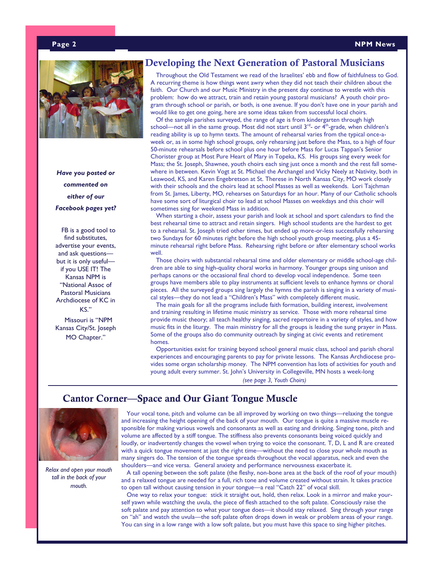#### **Page 2 NPM News**



 *Have you posted or commented on either of our Facebook pages yet?*

 FB is a good tool to find substitutes, advertise your events, and ask questions but it is only useful if you USE IT! The Kansas NPM is "National Assoc of Pastoral Musicians Archdiocese of KC in KS."

 Missouri is "NPM Kansas City/St. Joseph MO Chapter."

#### Developing the Next Generation of Pastoral Musicians

 Throughout the Old Testament we read of the Israelites' ebb and flow of faithfulness to God. A recurring theme is how things went awry when they did not teach their children about the faith. Our Church and our Music Ministry in the present day continue to wrestle with this problem: how do we attract, train and retain young pastoral musicians? A youth choir program through school or parish, or both, is one avenue. If you don't have one in your parish and would like to get one going, here are some ideas taken from successful local choirs.

 Of the sample parishes surveyed, the range of age is from kindergarten through high school—not all in the same group. Most did not start until  $3^{rd}$ - or  $4^{th}$ -grade, when children's reading ability is up to hymn texts. The amount of rehearsal varies from the typical once-aweek or, as in some high school groups, only rehearsing just before the Mass, to a high of four 50-minute rehearsals before school plus one hour before Mass for Lucas Tappan's Senior Chorister group at Most Pure Heart of Mary in Topeka, KS. His groups sing every week for Mass; the St. Joseph, Shawnee, youth choirs each sing just once a month and the rest fall somewhere in between. Kevin Vogt at St. Michael the Archangel and Vicky Neely at Nativity, both in Leawood, KS, and Karen Engebretson at St. Therese in North Kansas City, MO work closely with their schools and the choirs lead at school Masses as well as weekends. Lori Tajchman from St. James, Liberty, MO, rehearses on Saturdays for an hour. Many of our Catholic schools have some sort of liturgical choir to lead at school Masses on weekdays and this choir will sometimes sing for weekend Mass in addition.

 When starting a choir, assess your parish and look at school and sport calendars to find the best rehearsal time to attract and retain singers. High school students are the hardest to get to a rehearsal. St. Joseph tried other times, but ended up more-or-less successfully rehearsing two Sundays for 60 minutes right before the high school youth group meeting, plus a 45 minute rehearsal right before Mass. Rehearsing right before or after elementary school works well.

 Those choirs with substantial rehearsal time and older elementary or middle school-age children are able to sing high-quality choral works in harmony. Younger groups sing unison and perhaps canons or the occasional final chord to develop vocal independence. Some teen groups have members able to play instruments at sufficient levels to enhance hymns or choral pieces. All the surveyed groups sing largely the hymns the parish is singing in a variety of musical styles—they do not lead a "Children's Mass" with completely different music.

 The main goals for all the programs include faith formation, building interest, involvement and training resulting in lifetime music ministry as service. Those with more rehearsal time provide music theory; all teach healthy singing, sacred repertoire in a variety of styles, and how music fits in the liturgy. The main ministry for all the groups is leading the sung prayer in Mass. Some of the groups also do community outreach by singing at civic events and retirement homes.

 Opportunities exist for training beyond school general music class, school and parish choral experiences and encouraging parents to pay for private lessons. The Kansas Archdiocese provides some organ scholarship money. The NPM convention has lots of activities for youth and young adult every summer. St. John's University in Collegeville, MN hosts a week-long

*(see page 3, Youth Choirs)*

## Cantor Corner—Space and Our Giant Tongue Muscle



*Relax and open your mouth tall in the back of your mouth.*

 Your vocal tone, pitch and volume can be all improved by working on two things—relaxing the tongue and increasing the height opening of the back of your mouth. Our tongue is quite a massive muscle responsible for making various vowels and consonants as well as eating and drinking. Singing tone, pitch and volume are affected by a stiff tongue. The stiffness also prevents consonants being voiced quickly and loudly, or inadvertently changes the vowel when trying to voice the consonant. T, D, L and R are created with a quick tongue movement at just the right time—without the need to close your whole mouth as many singers do. The tension of the tongue spreads throughout the vocal apparatus, neck and even the shoulders—and vice versa. General anxiety and performance nervousness exacerbate it.

 A tall opening between the soft palate (the fleshy, non-bone area at the back of the roof of your mouth) and a relaxed tongue are needed for a full, rich tone and volume created without strain. It takes practice to open tall without causing tension in your tongue—a real "Catch 22" of vocal skill.

 One way to relax your tongue: stick it straight out, hold, then relax. Look in a mirror and make yourself yawn while watching the uvula, the piece of flesh attached to the soft palate. Consciously raise the soft palate and pay attention to what your tongue does—it should stay relaxed. Sing through your range on "ah" and watch the uvula—the soft palate often drops down in weak or problem areas of your range. You can sing in a low range with a low soft palate, but you must have this space to sing higher pitches.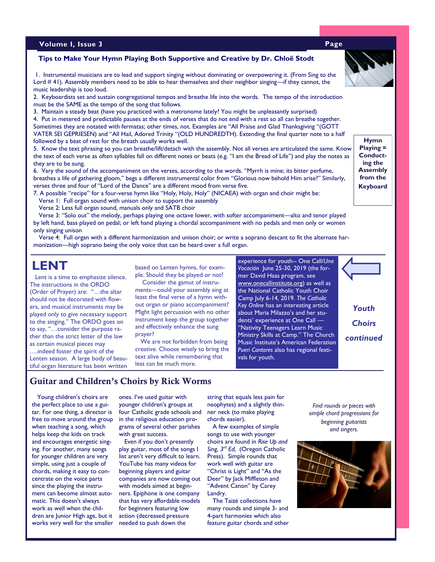#### **Volume I, Issue 3 Page**

#### **Tips to Make Your Hymn Playing Both Supportive and Creative by Dr. Chloë Stodt**

1. Instrumental musicians are to lead and support singing without dominating or overpowering it. (From Sing to the Lord # 41). Assembly members need to be able to hear themselves and their neighbor singing—if they cannot, the music leadership is too loud.

2. Keyboardists set and sustain congregational tempos and breathe life into the words. The tempo of the introduction must be the SAME as the tempo of the song that follows.

3. Maintain a steady beat (have you practiced with a metronome lately? You might be unpleasantly surprised)

4. Put in metered and predictable pauses at the ends of verses that do not end with a rest so all can breathe together. Sometimes they are notated with fermatas; other times, not. Examples are "All Praise and Glad Thanksgiving "(GOTT VATER SEI GEPRIESEN) and "All Hail, Adored Trinity "(OLD HUNDREDTH). Extending the final quarter note to a half followed by a beat of rest for the breath usually works well.

5. Know the text phrasing so you can breathe/lift/detach with the assembly. Not all verses are articulated the same. Know the text of each verse as often syllables fall on different notes or beats (e.g. "I am the Bread of Life") and play the notes as they are to be sung.

6. Vary the sound of the accompaniment on the verses, according to the words. "Myrrh is mine; its bitter perfume, breathes a life of gathering gloom," begs a different instrumental color from "Glorious now behold Him arise?" Similarly, verses three and four of "Lord of the Dance" are a different mood from verse five.

7. A possible "recipe" for a four-verse hymn like "Holy, Holy, Holy" (NICAEA) with organ and choir might be:

 Verse 1: Full organ sound with unison choir to support the assembly Verse 2: Less full organ sound, manuals only and SATB choir

 Verse 3: "Solo out" the melody, perhaps playing one octave lower, with softer accompaniment—alto and tenor played by left hand, bass played on pedal; or left hand playing a chordal accompaniment with no pedals and men only or women only singing unison

 Verse 4: Full organ with a different harmonization and unison choir; or write a soprano descant to fit the alternate harmonization—high soprano being the only voice that can be heard over a full organ.

 Lent is a time to emphasize silence. The instructions in the ORDO (Order of Prayer) are: "…the altar should not be decorated with flowers, and musical instruments may be played only to give necessary support to the singing." The ORDO goes on to say, "…consider the purpose rather than the strict letter of the law as certain musical pieces may ….indeed foster the spirit of the Lenten season. A large body of beautiful organ literature has been written based on Lenten hymns, for example. Should they be played or not? Consider the gamut of instru-

ments—could your assembly sing at least the final verse of a hymn without organ or piano accompaniment? Might light percussion with no other instrument keep the group together and effectively enhance the sung prayer?

 We are not forbidden from being creative. Choose wisely to bring the text alive while remembering that less can be much more.

**LENT** based on Lenten hymns, for exam-<br> *Vocación* June 25-30, 2019 (the former David Haas program, see [www.onecallinstitute.org\)](http://www.onecallinstitute.org) as well as the National Catholic Youth Choir Camp July 6-14, 2019. *The Catholic Key Online* has an interesting article about Maria Milazzo's and her students' experience at One Call — "Nativity Teenagers Learn Music Ministry Skills at Camp." The Church Music Institute's American Federation *Pueri Cantores* also has regional festivals for youth.

**Hymn Playing = Conducting the Assembly from the Keyboard**

*Find rounds or pieces with* 

*Youth* 

*Choirs* 

*continued*

*simple chord progressions for beginning guitarists and singers.* 



#### Guitar and Children's Choirs by Rick Worms

 Young children's choirs are the perfect place to use a guitar. For one thing, a director is free to move around the group when teaching a song, which helps keep the kids on track and encourages energetic singing. For another, many songs for younger children are very simple, using just a couple of chords, making it easy to concentrate on the voice parts since the playing the instrument can become almost automatic. This doesn't always work as well when the children are Junior High age, but it works very well for the smaller ones. I've used guitar with younger children's groups at four Catholic grade schools and in the religious education programs of several other parishes with great success.

 Even if you don't presently play guitar, most of the songs I list aren't very difficult to learn. YouTube has many videos for beginning players and guitar companies are now coming out with models aimed at beginners. Epiphone is one company that has very affordable models for beginners featuring low action (decreased pressure needed to push down the

string that equals less pain for neophytes) and a slightly thinner neck (to make playing chords easier).

 A few examples of simple songs to use with younger choirs are found in *Rise Up and Sing, 3rd Ed,* (Oregon Catholic Press). Simple rounds that work well with guitar are "Christ is Light" and "As the Deer" by Jack Miffleton and "Advent Canon" by Carey Landry.

 The Taizé collections have many rounds and simple 3- and 4-part harmonies which also feature guitar chords and other